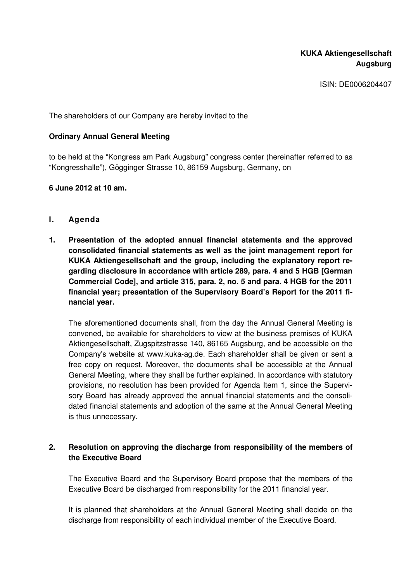ISIN: DE0006204407

The shareholders of our Company are hereby invited to the

## **Ordinary Annual General Meeting**

to be held at the "Kongress am Park Augsburg" congress center (hereinafter referred to as "Kongresshalle"), Gögginger Strasse 10, 86159 Augsburg, Germany, on

## **6 June 2012 at 10 am.**

- **I. Agenda**
- **1. Presentation of the adopted annual financial statements and the approved consolidated financial statements as well as the joint management report for KUKA Aktiengesellschaft and the group, including the explanatory report regarding disclosure in accordance with article 289, para. 4 and 5 HGB [German Commercial Code], and article 315, para. 2, no. 5 and para. 4 HGB for the 2011 financial year; presentation of the Supervisory Board's Report for the 2011 financial year.**

The aforementioned documents shall, from the day the Annual General Meeting is convened, be available for shareholders to view at the business premises of KUKA Aktiengesellschaft, Zugspitzstrasse 140, 86165 Augsburg, and be accessible on the Company's website at www.kuka-ag.de. Each shareholder shall be given or sent a free copy on request. Moreover, the documents shall be accessible at the Annual General Meeting, where they shall be further explained. In accordance with statutory provisions, no resolution has been provided for Agenda Item 1, since the Supervisory Board has already approved the annual financial statements and the consolidated financial statements and adoption of the same at the Annual General Meeting is thus unnecessary.

# **2. Resolution on approving the discharge from responsibility of the members of the Executive Board**

The Executive Board and the Supervisory Board propose that the members of the Executive Board be discharged from responsibility for the 2011 financial year.

It is planned that shareholders at the Annual General Meeting shall decide on the discharge from responsibility of each individual member of the Executive Board.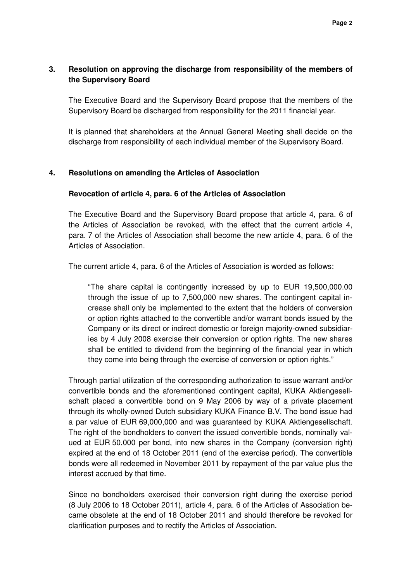# **3. Resolution on approving the discharge from responsibility of the members of the Supervisory Board**

The Executive Board and the Supervisory Board propose that the members of the Supervisory Board be discharged from responsibility for the 2011 financial year.

It is planned that shareholders at the Annual General Meeting shall decide on the discharge from responsibility of each individual member of the Supervisory Board.

### **4. Resolutions on amending the Articles of Association**

### **Revocation of article 4, para. 6 of the Articles of Association**

The Executive Board and the Supervisory Board propose that article 4, para. 6 of the Articles of Association be revoked, with the effect that the current article 4, para. 7 of the Articles of Association shall become the new article 4, para. 6 of the Articles of Association.

The current article 4, para. 6 of the Articles of Association is worded as follows:

"The share capital is contingently increased by up to EUR 19,500,000.00 through the issue of up to 7,500,000 new shares. The contingent capital increase shall only be implemented to the extent that the holders of conversion or option rights attached to the convertible and/or warrant bonds issued by the Company or its direct or indirect domestic or foreign majority-owned subsidiaries by 4 July 2008 exercise their conversion or option rights. The new shares shall be entitled to dividend from the beginning of the financial year in which they come into being through the exercise of conversion or option rights."

Through partial utilization of the corresponding authorization to issue warrant and/or convertible bonds and the aforementioned contingent capital, KUKA Aktiengesellschaft placed a convertible bond on 9 May 2006 by way of a private placement through its wholly-owned Dutch subsidiary KUKA Finance B.V. The bond issue had a par value of EUR 69,000,000 and was guaranteed by KUKA Aktiengesellschaft. The right of the bondholders to convert the issued convertible bonds, nominally valued at EUR 50,000 per bond, into new shares in the Company (conversion right) expired at the end of 18 October 2011 (end of the exercise period). The convertible bonds were all redeemed in November 2011 by repayment of the par value plus the interest accrued by that time.

Since no bondholders exercised their conversion right during the exercise period (8 July 2006 to 18 October 2011), article 4, para. 6 of the Articles of Association became obsolete at the end of 18 October 2011 and should therefore be revoked for clarification purposes and to rectify the Articles of Association.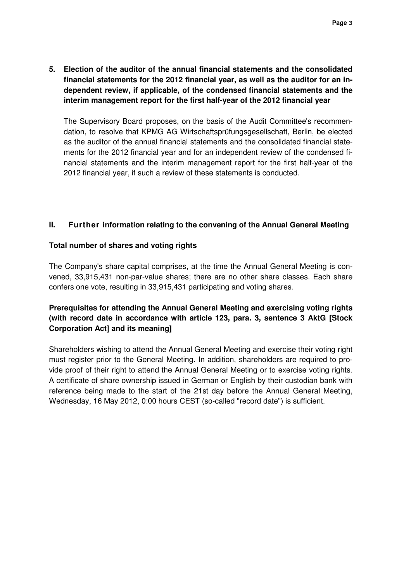**5. Election of the auditor of the annual financial statements and the consolidated financial statements for the 2012 financial year, as well as the auditor for an independent review, if applicable, of the condensed financial statements and the interim management report for the first half-year of the 2012 financial year** 

The Supervisory Board proposes, on the basis of the Audit Committee's recommendation, to resolve that KPMG AG Wirtschaftsprüfungsgesellschaft, Berlin, be elected as the auditor of the annual financial statements and the consolidated financial statements for the 2012 financial year and for an independent review of the condensed financial statements and the interim management report for the first half-year of the 2012 financial year, if such a review of these statements is conducted.

## **II. Further information relating to the convening of the Annual General Meeting**

## **Total number of shares and voting rights**

The Company's share capital comprises, at the time the Annual General Meeting is convened, 33,915,431 non-par-value shares; there are no other share classes. Each share confers one vote, resulting in 33,915,431 participating and voting shares.

# **Prerequisites for attending the Annual General Meeting and exercising voting rights (with record date in accordance with article 123, para. 3, sentence 3 AktG [Stock Corporation Act] and its meaning]**

Shareholders wishing to attend the Annual General Meeting and exercise their voting right must register prior to the General Meeting. In addition, shareholders are required to provide proof of their right to attend the Annual General Meeting or to exercise voting rights. A certificate of share ownership issued in German or English by their custodian bank with reference being made to the start of the 21st day before the Annual General Meeting, Wednesday, 16 May 2012, 0:00 hours CEST (so-called "record date") is sufficient.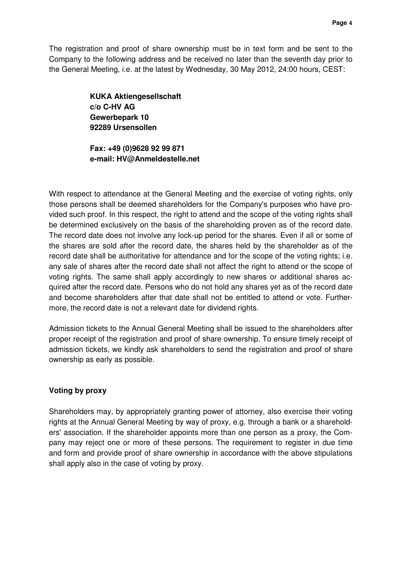The registration and proof of share ownership must be in text form and be sent to the Company to the following address and be received no later than the seventh day prior to the General Meeting, i.e. at the latest by Wednesday, 30 May 2012, 24:00 hours, CEST:

> **KUKA Aktiengesellschaft c/o C-HV AG Gewerbepark 10 92289 Ursensollen**

**Fax: +49 (0)9628 92 99 871 e-mail: HV@Anmeldestelle.net** 

With respect to attendance at the General Meeting and the exercise of voting rights, only those persons shall be deemed shareholders for the Company's purposes who have provided such proof. In this respect, the right to attend and the scope of the voting rights shall be determined exclusively on the basis of the shareholding proven as of the record date. The record date does not involve any lock-up period for the shares. Even if all or some of the shares are sold after the record date, the shares held by the shareholder as of the record date shall be authoritative for attendance and for the scope of the voting rights; i.e. any sale of shares after the record date shall not affect the right to attend or the scope of voting rights. The same shall apply accordingly to new shares or additional shares acquired after the record date. Persons who do not hold any shares yet as of the record date and become shareholders after that date shall not be entitled to attend or vote. Furthermore, the record date is not a relevant date for dividend rights.

Admission tickets to the Annual General Meeting shall be issued to the shareholders after proper receipt of the registration and proof of share ownership. To ensure timely receipt of admission tickets, we kindly ask shareholders to send the registration and proof of share ownership as early as possible.

# **Voting by proxy**

Shareholders may, by appropriately granting power of attorney, also exercise their voting rights at the Annual General Meeting by way of proxy, e.g. through a bank or a shareholders' association. If the shareholder appoints more than one person as a proxy, the Company may reject one or more of these persons. The requirement to register in due time and form and provide proof of share ownership in accordance with the above stipulations shall apply also in the case of voting by proxy.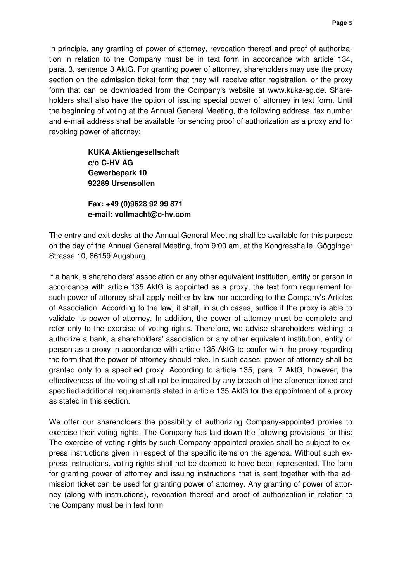In principle, any granting of power of attorney, revocation thereof and proof of authorization in relation to the Company must be in text form in accordance with article 134, para. 3, sentence 3 AktG. For granting power of attorney, shareholders may use the proxy section on the admission ticket form that they will receive after registration, or the proxy form that can be downloaded from the Company's website at www.kuka-ag.de. Shareholders shall also have the option of issuing special power of attorney in text form. Until the beginning of voting at the Annual General Meeting, the following address, fax number and e-mail address shall be available for sending proof of authorization as a proxy and for revoking power of attorney:

> **KUKA Aktiengesellschaft c/o C-HV AG Gewerbepark 10 92289 Ursensollen**

**Fax: +49 (0)9628 92 99 871 e-mail: vollmacht@c-hv.com** 

The entry and exit desks at the Annual General Meeting shall be available for this purpose on the day of the Annual General Meeting, from 9:00 am, at the Kongresshalle, Gögginger Strasse 10, 86159 Augsburg.

If a bank, a shareholders' association or any other equivalent institution, entity or person in accordance with article 135 AktG is appointed as a proxy, the text form requirement for such power of attorney shall apply neither by law nor according to the Company's Articles of Association. According to the law, it shall, in such cases, suffice if the proxy is able to validate its power of attorney. In addition, the power of attorney must be complete and refer only to the exercise of voting rights. Therefore, we advise shareholders wishing to authorize a bank, a shareholders' association or any other equivalent institution, entity or person as a proxy in accordance with article 135 AktG to confer with the proxy regarding the form that the power of attorney should take. In such cases, power of attorney shall be granted only to a specified proxy. According to article 135, para. 7 AktG, however, the effectiveness of the voting shall not be impaired by any breach of the aforementioned and specified additional requirements stated in article 135 AktG for the appointment of a proxy as stated in this section.

We offer our shareholders the possibility of authorizing Company-appointed proxies to exercise their voting rights. The Company has laid down the following provisions for this: The exercise of voting rights by such Company-appointed proxies shall be subject to express instructions given in respect of the specific items on the agenda. Without such express instructions, voting rights shall not be deemed to have been represented. The form for granting power of attorney and issuing instructions that is sent together with the admission ticket can be used for granting power of attorney. Any granting of power of attorney (along with instructions), revocation thereof and proof of authorization in relation to the Company must be in text form.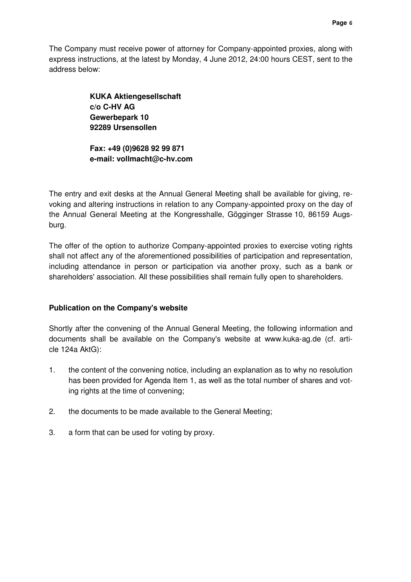The Company must receive power of attorney for Company-appointed proxies, along with express instructions, at the latest by Monday, 4 June 2012, 24:00 hours CEST, sent to the address below:

> **KUKA Aktiengesellschaft c/o C-HV AG Gewerbepark 10 92289 Ursensollen**

**Fax: +49 (0)9628 92 99 871 e-mail: vollmacht@c-hv.com** 

The entry and exit desks at the Annual General Meeting shall be available for giving, revoking and altering instructions in relation to any Company-appointed proxy on the day of the Annual General Meeting at the Kongresshalle, Gögginger Strasse 10, 86159 Augsburg.

The offer of the option to authorize Company-appointed proxies to exercise voting rights shall not affect any of the aforementioned possibilities of participation and representation, including attendance in person or participation via another proxy, such as a bank or shareholders' association. All these possibilities shall remain fully open to shareholders.

# **Publication on the Company's website**

Shortly after the convening of the Annual General Meeting, the following information and documents shall be available on the Company's website at www.kuka-ag.de (cf. article 124a AktG):

- 1. the content of the convening notice, including an explanation as to why no resolution has been provided for Agenda Item 1, as well as the total number of shares and voting rights at the time of convening;
- 2. the documents to be made available to the General Meeting;
- 3. a form that can be used for voting by proxy.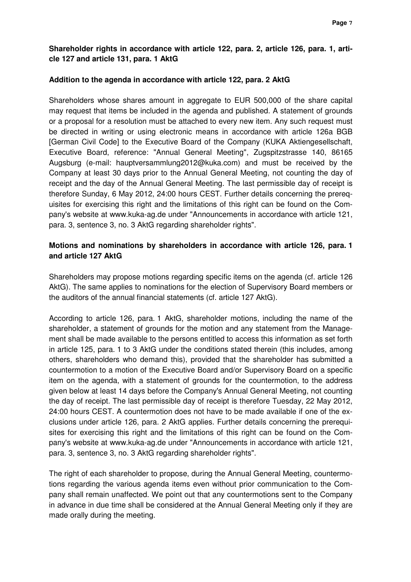# **Shareholder rights in accordance with article 122, para. 2, article 126, para. 1, article 127 and article 131, para. 1 AktG**

#### **Addition to the agenda in accordance with article 122, para. 2 AktG**

Shareholders whose shares amount in aggregate to EUR 500,000 of the share capital may request that items be included in the agenda and published. A statement of grounds or a proposal for a resolution must be attached to every new item. Any such request must be directed in writing or using electronic means in accordance with article 126a BGB [German Civil Code] to the Executive Board of the Company (KUKA Aktiengesellschaft, Executive Board, reference: "Annual General Meeting", Zugspitzstrasse 140, 86165 Augsburg (e-mail: hauptversammlung2012@kuka.com) and must be received by the Company at least 30 days prior to the Annual General Meeting, not counting the day of receipt and the day of the Annual General Meeting. The last permissible day of receipt is therefore Sunday, 6 May 2012, 24:00 hours CEST. Further details concerning the prerequisites for exercising this right and the limitations of this right can be found on the Company's website at www.kuka-ag.de under "Announcements in accordance with article 121, para. 3, sentence 3, no. 3 AktG regarding shareholder rights".

## **Motions and nominations by shareholders in accordance with article 126, para. 1 and article 127 AktG**

Shareholders may propose motions regarding specific items on the agenda (cf. article 126 AktG). The same applies to nominations for the election of Supervisory Board members or the auditors of the annual financial statements (cf. article 127 AktG).

According to article 126, para. 1 AktG, shareholder motions, including the name of the shareholder, a statement of grounds for the motion and any statement from the Management shall be made available to the persons entitled to access this information as set forth in article 125, para. 1 to 3 AktG under the conditions stated therein (this includes, among others, shareholders who demand this), provided that the shareholder has submitted a countermotion to a motion of the Executive Board and/or Supervisory Board on a specific item on the agenda, with a statement of grounds for the countermotion, to the address given below at least 14 days before the Company's Annual General Meeting, not counting the day of receipt. The last permissible day of receipt is therefore Tuesday, 22 May 2012, 24:00 hours CEST. A countermotion does not have to be made available if one of the exclusions under article 126, para. 2 AktG applies. Further details concerning the prerequisites for exercising this right and the limitations of this right can be found on the Company's website at www.kuka-ag.de under "Announcements in accordance with article 121, para. 3, sentence 3, no. 3 AktG regarding shareholder rights".

The right of each shareholder to propose, during the Annual General Meeting, countermotions regarding the various agenda items even without prior communication to the Company shall remain unaffected. We point out that any countermotions sent to the Company in advance in due time shall be considered at the Annual General Meeting only if they are made orally during the meeting.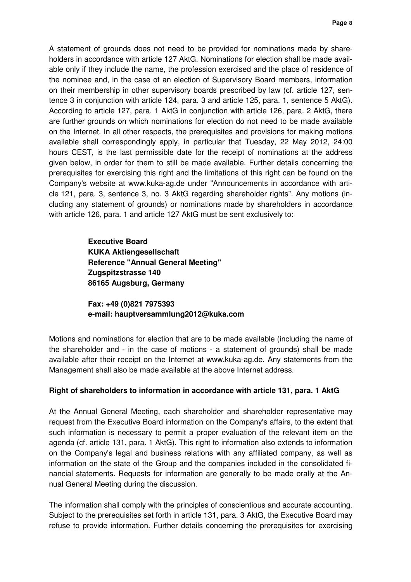A statement of grounds does not need to be provided for nominations made by shareholders in accordance with article 127 AktG. Nominations for election shall be made available only if they include the name, the profession exercised and the place of residence of the nominee and, in the case of an election of Supervisory Board members, information on their membership in other supervisory boards prescribed by law (cf. article 127, sentence 3 in conjunction with article 124, para. 3 and article 125, para. 1, sentence 5 AktG). According to article 127, para. 1 AktG in conjunction with article 126, para. 2 AktG, there are further grounds on which nominations for election do not need to be made available on the Internet. In all other respects, the prerequisites and provisions for making motions available shall correspondingly apply, in particular that Tuesday, 22 May 2012, 24:00 hours CEST, is the last permissible date for the receipt of nominations at the address given below, in order for them to still be made available. Further details concerning the prerequisites for exercising this right and the limitations of this right can be found on the Company's website at www.kuka-ag.de under "Announcements in accordance with article 121, para. 3, sentence 3, no. 3 AktG regarding shareholder rights". Any motions (including any statement of grounds) or nominations made by shareholders in accordance with article 126, para. 1 and article 127 AktG must be sent exclusively to:

> **Executive Board KUKA Aktiengesellschaft Reference "Annual General Meeting" Zugspitzstrasse 140 86165 Augsburg, Germany**

**Fax: +49 (0)821 7975393 e-mail: hauptversammlung2012@kuka.com**

Motions and nominations for election that are to be made available (including the name of the shareholder and - in the case of motions - a statement of grounds) shall be made available after their receipt on the Internet at www.kuka-ag.de. Any statements from the Management shall also be made available at the above Internet address.

### **Right of shareholders to information in accordance with article 131, para. 1 AktG**

At the Annual General Meeting, each shareholder and shareholder representative may request from the Executive Board information on the Company's affairs, to the extent that such information is necessary to permit a proper evaluation of the relevant item on the agenda (cf. article 131, para. 1 AktG). This right to information also extends to information on the Company's legal and business relations with any affiliated company, as well as information on the state of the Group and the companies included in the consolidated financial statements. Requests for information are generally to be made orally at the Annual General Meeting during the discussion.

The information shall comply with the principles of conscientious and accurate accounting. Subject to the prerequisites set forth in article 131, para. 3 AktG, the Executive Board may refuse to provide information. Further details concerning the prerequisites for exercising